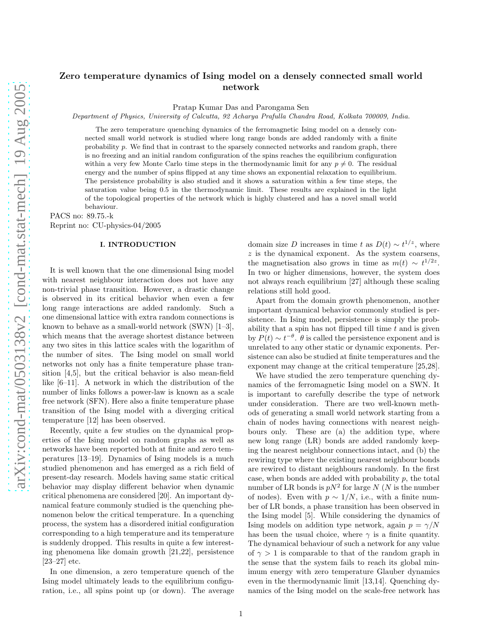# Zero temperature dynamics of Ising model on a densely connected small world network

Pratap Kumar Das and Parongama Sen

Department of Physics, University of Calcutta, 92 Acharya Prafulla Chandra Road, Kolkata 700009, India.

The zero temperature quenching dynamics of the ferromagnetic Ising model on a densely connected small world network is studied where long range bonds are added randomly with a finite probability  $p$ . We find that in contrast to the sparsely connected networks and random graph, there is no freezing and an initial random configuration of the spins reaches the equilibrium configuration within a very few Monte Carlo time steps in the thermodynamic limit for any  $p \neq 0$ . The residual energy and the number of spins flipped at any time shows an exponential relaxation to equilibrium. The persistence probability is also studied and it shows a saturation within a few time steps, the saturation value being 0.5 in the thermodynamic limit. These results are explained in the light of the topological properties of the network which is highly clustered and has a novel small world behaviour.

PACS no: 89.75.-k

Reprint no: CU-physics-04/2005

## I. INTRODUCTION

It is well known that the one dimensional Ising model with nearest neighbour interaction does not have any non-trivial phase transition. However, a drastic change is observed in its critical behavior when even a few long range interactions are added randomly. Such a one dimensional lattice with extra random connections is known to behave as a small-world network (SWN) [1–3], which means that the average shortest distance between any two sites in this lattice scales with the logarithm of the number of sites. The Ising model on small world networks not only has a finite temperature phase transition [4,5], but the critical behavior is also mean-field like [6–11]. A network in which the distribution of the number of links follows a power-law is known as a scale free network (SFN). Here also a finite temperature phase transition of the Ising model with a diverging critical temperature [12] has been observed.

Recently, quite a few studies on the dynamical properties of the Ising model on random graphs as well as networks have been reported both at finite and zero temperatures [13–19]. Dynamics of Ising models is a much studied phenomenon and has emerged as a rich field of present-day research. Models having same static critical behavior may display different behavior when dynamic critical phenomena are considered [20]. An important dynamical feature commonly studied is the quenching phenomenon below the critical temperature. In a quenching process, the system has a disordered initial configuration corresponding to a high temperature and its temperature is suddenly dropped. This results in quite a few interesting phenomena like domain growth [21,22], persistence [23–27] etc.

In one dimension, a zero temperature quench of the Ising model ultimately leads to the equilibrium configuration, i.e., all spins point up (or down). The average

domain size D increases in time t as  $D(t) \sim t^{1/z}$ , where  $z$  is the dynamical exponent. As the system coarsens, the magnetisation also grows in time as  $m(t) \sim t^{1/2z}$ . In two or higher dimensions, however, the system does not always reach equilibrium [27] although these scaling relations still hold good.

Apart from the domain growth phenomenon, another important dynamical behavior commonly studied is persistence. In Ising model, persistence is simply the probability that a spin has not flipped till time  $t$  and is given by  $P(t) \sim t^{-\theta}$ .  $\theta$  is called the persistence exponent and is unrelated to any other static or dynamic exponents. Persistence can also be studied at finite temperatures and the exponent may change at the critical temperature [25,28].

We have studied the zero temperature quenching dynamics of the ferromagnetic Ising model on a SWN. It is important to carefully describe the type of network under consideration. There are two well-known methods of generating a small world network starting from a chain of nodes having connections with nearest neighbours only. These are (a) the addition type, where new long range (LR) bonds are added randomly keeping the nearest neighbour connections intact, and (b) the rewiring type where the existing nearest neighbour bonds are rewired to distant neighbours randomly. In the first case, when bonds are added with probability p, the total number of LR bonds is  $pN^2$  for large N (N is the number of nodes). Even with  $p \sim 1/N$ , i.e., with a finite number of LR bonds, a phase transition has been observed in the Ising model [5]. While considering the dynamics of Ising models on addition type network, again  $p = \gamma/N$ has been the usual choice, where  $\gamma$  is a finite quantity. The dynamical behaviour of such a network for any value of  $\gamma > 1$  is comparable to that of the random graph in the sense that the system fails to reach its global minimum energy with zero temperature Glauber dynamics even in the thermodynamic limit [13,14]. Quenching dynamics of the Ising model on the scale-free network has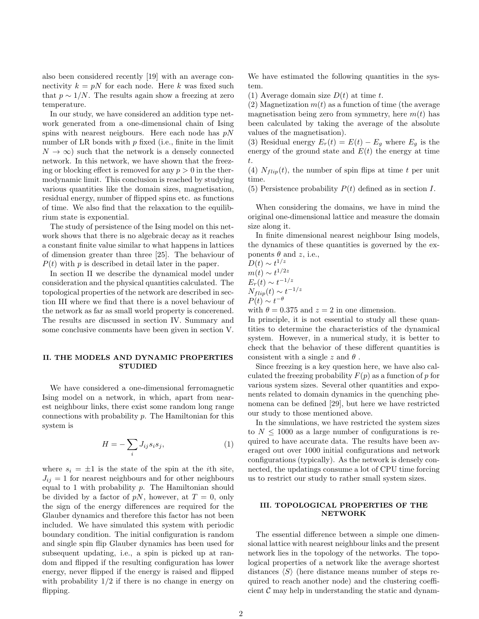also been considered recently [19] with an average connectivity  $k = pN$  for each node. Here k was fixed such that  $p \sim 1/N$ . The results again show a freezing at zero temperature.

In our study, we have considered an addition type network generated from a one-dimensional chain of Ising spins with nearest neigbours. Here each node has  $pN$ number of LR bonds with  $p$  fixed (i.e., finite in the limit  $N \to \infty$ ) such that the network is a densely connected network. In this network, we have shown that the freezing or blocking effect is removed for any  $p > 0$  in the thermodynamic limit. This conclusion is reached by studying various quantities like the domain sizes, magnetisation, residual energy, number of flipped spins etc. as functions of time. We also find that the relaxation to the equilibrium state is exponential.

The study of persistence of the Ising model on this network shows that there is no algebraic decay as it reaches a constant finite value similar to what happens in lattices of dimension greater than three [25]. The behaviour of  $P(t)$  with p is described in detail later in the paper.

In section II we describe the dynamical model under consideration and the physical quantities calculated. The topological properties of the network are described in section III where we find that there is a novel behaviour of the network as far as small world property is concerened. The results are discussed in section IV. Summary and some conclusive comments have been given in section V.

### II. THE MODELS AND DYNAMIC PROPERTIES **STUDIED**

We have considered a one-dimensional ferromagnetic Ising model on a network, in which, apart from nearest neighbour links, there exist some random long range connections with probability  $p$ . The Hamiltonian for this system is

$$
H = -\sum_{i} J_{ij} s_i s_j,\tag{1}
$$

where  $s_i = \pm 1$  is the state of the spin at the *i*th site,  $J_{ij} = 1$  for nearest neighbours and for other neighbours equal to 1 with probability  $p$ . The Hamiltonian should be divided by a factor of pN, however, at  $T = 0$ , only the sign of the energy differences are required for the Glauber dynamics and therefore this factor has not been included. We have simulated this system with periodic boundary condition. The initial configuration is random and single spin flip Glauber dynamics has been used for subsequent updating, i.e., a spin is picked up at random and flipped if the resulting configuration has lower energy, never flipped if the energy is raised and flipped with probability  $1/2$  if there is no change in energy on flipping.

We have estimated the following quantities in the system.

(1) Average domain size  $D(t)$  at time t.

(2) Magnetization  $m(t)$  as a function of time (the average magnetisation being zero from symmetry, here  $m(t)$  has been calculated by taking the average of the absolute values of the magnetisation).

(3) Residual energy  $E_r(t) = E(t) - E_g$  where  $E_g$  is the energy of the ground state and  $E(t)$  the energy at time t.

(4)  $N_{flip}(t)$ , the number of spin flips at time t per unit time.

(5) Persistence probability  $P(t)$  defined as in section I.

When considering the domains, we have in mind the original one-dimensional lattice and measure the domain size along it.

In finite dimensional nearest neighbour Ising models, the dynamics of these quantities is governed by the exponents  $\theta$  and z, i.e.,

 $D(t) \sim t^{1/z}$  $m(t) \sim t^{1/2z}$  $\hat{E_r(t)} \sim t^{-1/z}$  $N_{flip}(t) \sim t^{-1/z}$  $P(t) \sim t^{-\theta}$ 

with  $\theta = 0.375$  and  $z = 2$  in one dimension.

In principle, it is not essential to study all these quantities to determine the characteristics of the dynamical system. However, in a numerical study, it is better to check that the behavior of these different quantities is consistent with a single z and  $\theta$ .

Since freezing is a key question here, we have also calculated the freezing probability  $F(p)$  as a function of p for various system sizes. Several other quantities and exponents related to domain dynamics in the quenching phenomena can be defined [29], but here we have restricted our study to those mentioned above.

In the simulations, we have restricted the system sizes to  $N \leq 1000$  as a large number of configurations is required to have accurate data. The results have been averaged out over 1000 initial configurations and network configurations (typically). As the network is densely connected, the updatings consume a lot of CPU time forcing us to restrict our study to rather small system sizes.

#### III. TOPOLOGICAL PROPERTIES OF THE NETWORK

The essential difference between a simple one dimensional lattice with nearest neighbour links and the present network lies in the topology of the networks. The topological properties of a network like the average shortest distances  $\langle S \rangle$  (here distance means number of steps required to reach another node) and the clustering coefficient  $\mathcal C$  may help in understanding the static and dynam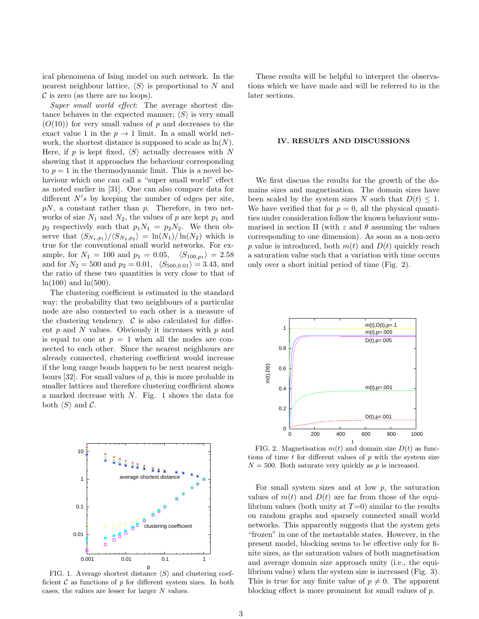ical phenomena of Ising model on such network. In the nearest neighbour lattice,  $\langle S \rangle$  is proportional to N and  $\mathcal C$  is zero (as there are no loops).

Super small world effect: The average shortest distance behaves in the expected manner;  $\langle S \rangle$  is very small  $(O(10))$  for very small values of p and decreases to the exact value 1 in the  $p \to 1$  limit. In a small world network, the shortest distance is supposed to scale as  $\ln(N)$ . Here, if p is kept fixed,  $\langle S \rangle$  actually decreases with N showing that it approaches the behaviour corresponding to  $p = 1$  in the thermodynamic limit. This is a novel behaviour which one can call a "super small world" effect as noted earlier in [31]. One can also compare data for different  $N's$  by keeping the number of edges per site,  $pN$ , a constant rather than p. Therefore, in two networks of size  $N_1$  and  $N_2$ , the values of p are kept  $p_1$  and  $p_2$  respectively such that  $p_1N_1 = p_2N_2$ . We then observe that  $\langle S_{N_1,p_1} \rangle / \langle S_{N_2,p_2} \rangle = \ln(N_1)/\ln(N_2)$  which is true for the conventional small world networks. For example, for  $N_1 = 100$  and  $p_1 = 0.05$ ,  $\langle S_{100,p_1} \rangle = 2.58$ and for  $N_2 = 500$  and  $p_2 = 0.01$ ,  $\langle S_{500,0.01} \rangle = 3.43$ , and the ratio of these two quantities is very close to that of  $ln(100)$  and  $ln(500)$ .

The clustering coefficient is estimated in the standard way: the probability that two neighbours of a particular node are also connected to each other is a measure of the clustering tendency.  $\mathcal C$  is also calculated for different  $p$  and  $N$  values. Obviously it increases with  $p$  and is equal to one at  $p = 1$  when all the nodes are connected to each other. Since the nearest neighbours are already connected, clustering coefficient would increase if the long range bonds happen to be next nearest neighbours  $[32]$ . For small values of p, this is more probable in smaller lattices and therefore clustering coefficient shows a marked decrease with  $N$ . Fig. 1 shows the data for both  $\langle S \rangle$  and C.



FIG. 1. Average shortest distance  $\langle S \rangle$  and clustering coefficient  $\mathcal C$  as functions of  $p$  for different system sizes. In both cases, the values are lesser for larger N values.

These results will be helpful to interpret the observations which we have made and will be referred to in the later sections.

#### IV. RESULTS AND DISCUSSIONS

We first discuss the results for the growth of the domains sizes and magnetisation. The domain sizes have been scaled by the system sizes N such that  $D(t) \leq 1$ . We have verified that for  $p = 0$ , all the physical quantities under consideration follow the known behaviour summarised in section II (with z and  $\theta$  assuming the values corresponding to one dimension). As soon as a non-zero p value is introduced, both  $m(t)$  and  $D(t)$  quickly reach a saturation value such that a variation with time occurs only over a short initial period of time (Fig. 2).



FIG. 2. Magnetisation  $m(t)$  and domain size  $D(t)$  as functions of time  $t$  for different values of  $p$  with the system size  $N = 500$ . Both saturate very quickly as p is increased.

For small system sizes and at low  $p$ , the saturation values of  $m(t)$  and  $D(t)$  are far from those of the equilibrium values (both unity at  $T=0$ ) similar to the results on random graphs and sparsely connected small world networks. This apparently suggests that the system gets "frozen" in one of the metastable states. However, in the present model, blocking seems to be effective only for finite sizes, as the saturation values of both magnetisation and average domain size approach unity (i.e., the equilibrium value) when the system size is increased (Fig. 3). This is true for any finite value of  $p \neq 0$ . The apparent blocking effect is more prominent for small values of p.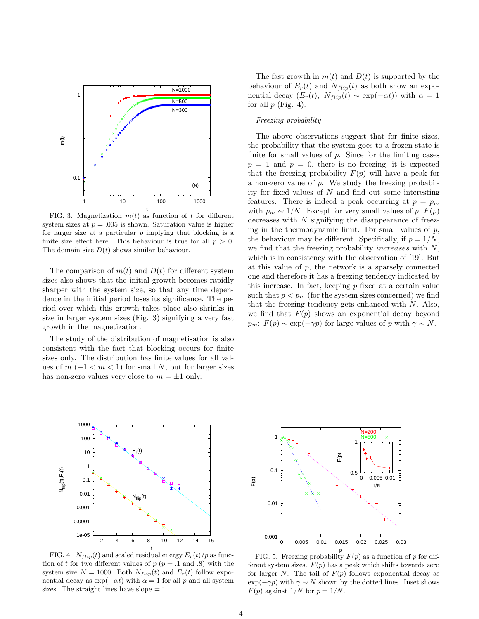

FIG. 3. Magnetization  $m(t)$  as function of t for different system sizes at  $p = .005$  is shown. Saturation value is higher for larger size at a particular  $p$  implying that blocking is a finite size effect here. This behaviour is true for all  $p > 0$ . The domain size  $D(t)$  shows similar behaviour.

The comparison of  $m(t)$  and  $D(t)$  for different system sizes also shows that the initial growth becomes rapidly sharper with the system size, so that any time dependence in the initial period loses its significance. The period over which this growth takes place also shrinks in size in larger system sizes (Fig. 3) signifying a very fast growth in the magnetization.

The study of the distribution of magnetisation is also consistent with the fact that blocking occurs for finite sizes only. The distribution has finite values for all values of  $m$  (−1 <  $m$  < 1) for small N, but for larger sizes has non-zero values very close to  $m = \pm 1$  only.

The fast growth in  $m(t)$  and  $D(t)$  is supported by the behaviour of  $E_r(t)$  and  $N_{flip}(t)$  as both show an exponential decay  $(E_r(t), N_{flip}(t) \sim \exp(-\alpha t))$  with  $\alpha = 1$ for all  $p$  (Fig. 4).

### Freezing probability

The above observations suggest that for finite sizes, the probability that the system goes to a frozen state is finite for small values of  $p$ . Since for the limiting cases  $p = 1$  and  $p = 0$ , there is no freezing, it is expected that the freezing probability  $F(p)$  will have a peak for a non-zero value of  $p$ . We study the freezing probability for fixed values of  $N$  and find out some interesting features. There is indeed a peak occurring at  $p = p_m$ with  $p_m \sim 1/N$ . Except for very small values of p,  $F(p)$ decreases with N signifying the disappearance of freezing in the thermodynamic limit. For small values of  $p$ , the behaviour may be different. Specifically, if  $p = 1/N$ . we find that the freezing probability increases with N, which is in consistency with the observation of [19]. But at this value of  $p$ , the network is a sparsely connected one and therefore it has a freezing tendency indicated by this increase. In fact, keeping  $p$  fixed at a certain value such that  $p < p_m$  (for the system sizes concerned) we find that the freezing tendency gets enhanced with  $N$ . Also, we find that  $F(p)$  shows an exponential decay beyond  $p_m: F(p) \sim \exp(-\gamma p)$  for large values of p with  $\gamma \sim N$ .



FIG. 4.  $N_{flip}(t)$  and scaled residual energy  $E_r(t)/p$  as function of t for two different values of  $p$  ( $p = .1$  and .8) with the system size  $N = 1000$ . Both  $N_{flip}(t)$  and  $E_r(t)$  follow exponential decay as  $\exp(-\alpha t)$  with  $\alpha = 1$  for all p and all system sizes. The straight lines have slope  $= 1$ .



FIG. 5. Freezing probability  $F(p)$  as a function of p for different system sizes.  $F(p)$  has a peak which shifts towards zero for larger N. The tail of  $F(p)$  follows exponential decay as  $\exp(-\gamma p)$  with  $\gamma \sim N$  shown by the dotted lines. Inset shows  $F(p)$  against  $1/N$  for  $p = 1/N$ .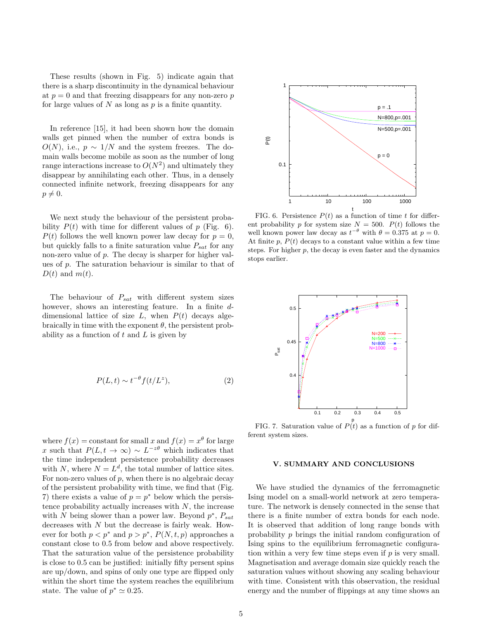These results (shown in Fig. 5) indicate again that there is a sharp discontinuity in the dynamical behaviour at  $p = 0$  and that freezing disappears for any non-zero p for large values of  $N$  as long as  $p$  is a finite quantity.

In reference [15], it had been shown how the domain walls get pinned when the number of extra bonds is  $O(N)$ , i.e.,  $p \sim 1/N$  and the system freezes. The domain walls become mobile as soon as the number of long range interactions increase to  $O(N^2)$  and ultimately they disappear by annihilating each other. Thus, in a densely connected infinite network, freezing disappears for any  $p \neq 0.$ 

We next study the behaviour of the persistent probability  $P(t)$  with time for different values of p (Fig. 6).  $P(t)$  follows the well known power law decay for  $p = 0$ , but quickly falls to a finite saturation value  $P_{sat}$  for any non-zero value of p. The decay is sharper for higher values of p. The saturation behaviour is similar to that of  $D(t)$  and  $m(t)$ .

The behaviour of  $P_{sat}$  with different system sizes however, shows an interesting feature. In a finite ddimensional lattice of size  $L$ , when  $P(t)$  decays algebraically in time with the exponent  $\theta$ , the persistent probability as a function of  $t$  and  $L$  is given by

$$
P(L,t) \sim t^{-\theta} f(t/L^z),\tag{2}
$$

where  $f(x) = \text{constant}$  for small x and  $f(x) = x^{\theta}$  for large x such that  $P(L, t \to \infty) \sim L^{-z\theta}$  which indicates that the time independent persistence probability decreases with N, where  $N = L<sup>d</sup>$ , the total number of lattice sites. For non-zero values of  $p$ , when there is no algebraic decay of the persistent probability with time, we find that (Fig. 7) there exists a value of  $p = p^*$  below which the persistence probability actually increases with  $N$ , the increase with N being slower than a power law. Beyond  $p^*$ ,  $P_{sat}$ decreases with  $N$  but the decrease is fairly weak. However for both  $p < p^*$  and  $p > p^*$ ,  $P(N, t, p)$  approaches a constant close to 0.5 from below and above respectively. That the saturation value of the persistence probability is close to 0.5 can be justified: initially fifty persent spins are up/down, and spins of only one type are flipped only within the short time the system reaches the equilibrium state. The value of  $p^* \simeq 0.25$ .



FIG. 6. Persistence  $P(t)$  as a function of time t for different probability p for system size  $N = 500$ .  $P(t)$  follows the well known power law decay as  $t^{-\theta}$  with  $\theta = 0.375$  at  $p = 0$ . At finite p,  $P(t)$  decays to a constant value within a few time steps. For higher  $p$ , the decay is even faster and the dynamics stops earlier.



FIG. 7. Saturation value of  $P(t)$  as a function of p for different system sizes.

### V. SUMMARY AND CONCLUSIONS

We have studied the dynamics of the ferromagnetic Ising model on a small-world network at zero temperature. The network is densely connected in the sense that there is a finite number of extra bonds for each node. It is observed that addition of long range bonds with probability p brings the initial random configuration of Ising spins to the equilibrium ferromagnetic configuration within a very few time steps even if  $p$  is very small. Magnetisation and average domain size quickly reach the saturation values without showing any scaling behaviour with time. Consistent with this observation, the residual energy and the number of flippings at any time shows an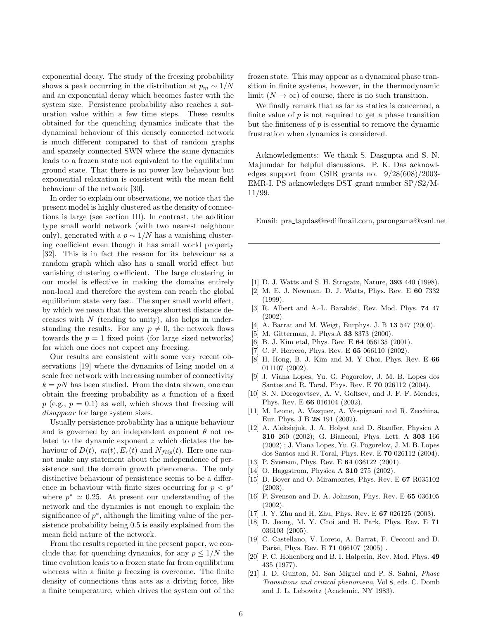exponential decay. The study of the freezing probability shows a peak occurring in the distribution at  $p_m \sim 1/N$ and an exponential decay which becomes faster with the system size. Persistence probability also reaches a saturation value within a few time steps. These results obtained for the quenching dynamics indicate that the dynamical behaviour of this densely connected network is much different compared to that of random graphs and sparsely connected SWN where the same dynamics leads to a frozen state not equivalent to the equilibrium ground state. That there is no power law behaviour but exponential relaxation is consistent with the mean field behaviour of the network [30].

In order to explain our observations, we notice that the present model is highly clustered as the density of connections is large (see section III). In contrast, the addition type small world network (with two nearest neighbour only), generated with a  $p \sim 1/N$  has a vanishing clustering coefficient even though it has small world property [32]. This is in fact the reason for its behaviour as a random graph which also has a small world effect but vanishing clustering coefficient. The large clustering in our model is effective in making the domains entirely non-local and therefore the system can reach the global equilibrium state very fast. The super small world effect, by which we mean that the average shortest distance decreases with  $N$  (tending to unity), also helps in understanding the results. For any  $p \neq 0$ , the network flows towards the  $p = 1$  fixed point (for large sized networks) for which one does not expect any freezing.

Our results are consistent with some very recent observations [19] where the dynamics of Ising model on a scale free network with increasing number of connectivity  $k = pN$  has been studied. From the data shown, one can obtain the freezing probability as a function of a fixed  $p$  (e.g.,  $p = 0.1$ ) as well, which shows that freezing will disappear for large system sizes.

Usually persistence probability has a unique behaviour and is governed by an independent exponent  $\theta$  not related to the dynamic exponent z which dictates the behaviour of  $D(t)$ ,  $m(t)$ ,  $E_r(t)$  and  $N_{flip}(t)$ . Here one cannot make any statement about the independence of persistence and the domain growth phenomena. The only distinctive behaviour of persistence seems to be a difference in behaviour with finite sizes occurring for  $p < p^*$ where  $p^* \simeq 0.25$ . At present our understanding of the network and the dynamics is not enough to explain the significance of  $p^*$ , although the limiting value of the persistence probability being 0.5 is easily explained from the mean field nature of the network.

From the results reported in the present paper, we conclude that for quenching dynamics, for any  $p \leq 1/N$  the time evolution leads to a frozen state far from equilibrium whereas with a finite  $p$  freezing is overcome. The finite density of connections thus acts as a driving force, like a finite temperature, which drives the system out of the

frozen state. This may appear as a dynamical phase transition in finite systems, however, in the thermodynamic limit  $(N \to \infty)$  of course, there is no such transition.

We finally remark that as far as statics is concerned, a finite value of  $p$  is not required to get a phase transition but the finiteness of  $p$  is essential to remove the dynamic frustration when dynamics is considered.

Acknowledgments: We thank S. Dasgupta and S. N. Majumdar for helpful discussions. P. K. Das acknowledges support from CSIR grants no. 9/28(608)/2003- EMR-I. PS acknowledges DST grant number SP/S2/M-11/99.

Email: pra tapdas@rediffmail.com, parongama@vsnl.net

- [1] D. J. Watts and S. H. Strogatz, Nature, 393 440 (1998).
- [2] M. E. J. Newman, D. J. Watts, Phys. Rev. E 60 7332  $(1999)$ .
- [3] R. Albert and A.-L. Barabási, Rev. Mod. Phys. 74 47 (2002).
- [4] A. Barrat and M. Weigt, Eurphys. J. B 13 547 (2000).
- [5] M. Gitterman, J. Phys.A 33 8373 (2000).
- [6] B. J. Kim etal, Phys. Rev. E 64 056135 (2001).
- [7] C. P. Herrero, Phys. Rev. E 65 066110  $(2002)$ .
- [8] H. Hong, B. J. Kim and M. Y Choi, Phys. Rev. E 66 011107 (2002).
- [9] J. Viana Lopes, Yu. G. Pogorelov, J. M. B. Lopes dos Santos and R. Toral, Phys. Rev. E 70 026112 (2004).
- [10] S. N. Dorogovtsev, A. V. Goltsev, and J. F. F. Mendes, Phys. Rev. E 66 016104 (2002).
- [11] M. Leone, A. Vazquez, A. Vespignani and R. Zecchina, Eur. Phys. J B 28 191 (2002).
- [12] A. Aleksiejuk, J. A. Holyst and D. Stauffer, Physica A 310 260 (2002); G. Bianconi, Phys. Lett. A 303 166 (2002) ; J. Viana Lopes, Yu. G. Pogorelov, J. M. B. Lopes dos Santos and R. Toral, Phys. Rev. E 70 026112 (2004).
- [13] P. Svenson, Phys. Rev. E **64** 036122 (2001).
- [14] O. Haggstrom, Physica A **310** 275 (2002).
- [15] D. Boyer and O. Miramontes, Phys. Rev. E 67 R035102 (2003).
- [16] P. Svenson and D. A. Johnson, Phys. Rev. E 65 036105 (2002).
- [17] J. Y. Zhu and H. Zhu, Phys. Rev. E 67 026125 (2003).
- [18] D. Jeong, M. Y. Choi and H. Park, Phys. Rev. E 71 036103 (2005).
- [19] C. Castellano, V. Loreto, A. Barrat, F. Cecconi and D. Parisi, Phys. Rev. E 71 066107 (2005) .
- [20] P. C. Hohenberg and B. I. Halperin, Rev. Mod. Phys. 49 435 (1977).
- [21] J. D. Gunton, M. San Miguel and P. S. Sahni, Phase Transitions and critical phenomena, Vol 8, eds. C. Domb and J. L. Lebowitz (Academic, NY 1983).